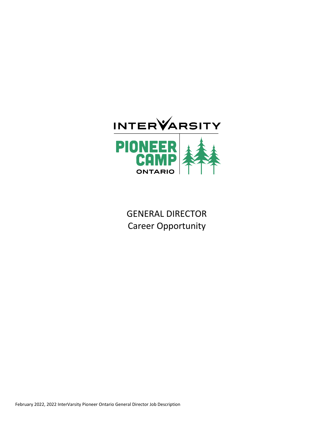

GENERAL DIRECTOR Career Opportunity

February 2022, 2022 InterVarsity Pioneer Ontario General Director Job Description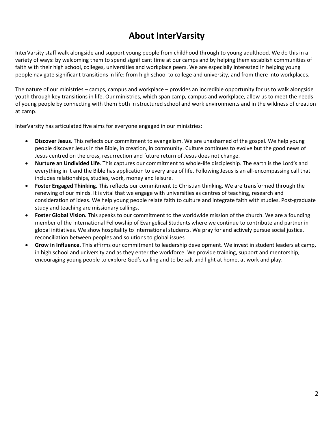# **About InterVarsity**

InterVarsity staff walk alongside and support young people from childhood through to young adulthood. We do this in a variety of ways: by welcoming them to spend significant time at our camps and by helping them establish communities of faith with their high school, colleges, universities and workplace peers. We are especially interested in helping young people navigate significant transitions in life: from high school to college and university, and from there into workplaces.

The nature of our ministries – camps, campus and workplace – provides an incredible opportunity for us to walk alongside youth through key transitions in life. Our ministries, which span camp, campus and workplace, allow us to meet the needs of young people by connecting with them both in structured school and work environments and in the wildness of creation at camp.

InterVarsity has articulated five aims for everyone engaged in our ministries:

- **Discover Jesus**. This reflects our commitment to evangelism. We are unashamed of the gospel. We help young people discover Jesus in the Bible, in creation, in community. Culture continues to evolve but the good news of Jesus centred on the cross, resurrection and future return of Jesus does not change.
- **Nurture an Undivided Life**. This captures our commitment to whole-life discipleship. The earth is the Lord's and everything in it and the Bible has application to every area of life. Following Jesus is an all-encompassing call that includes relationships, studies, work, money and leisure.
- **Foster Engaged Thinking.** This reflects our commitment to Christian thinking. We are transformed through the renewing of our minds. It is vital that we engage with universities as centres of teaching, research and consideration of ideas. We help young people relate faith to culture and integrate faith with studies. Post-graduate study and teaching are missionary callings.
- **Foster Global Vision.** This speaks to our commitment to the worldwide mission of the church. We are a founding member of the International Fellowship of Evangelical Students where we continue to contribute and partner in global initiatives. We show hospitality to international students. We pray for and actively pursue social justice, reconciliation between peoples and solutions to global issues
- **Grow in Influence.** This affirms our commitment to leadership development. We invest in student leaders at camp, in high school and university and as they enter the workforce. We provide training, support and mentorship, encouraging young people to explore God's calling and to be salt and light at home, at work and play.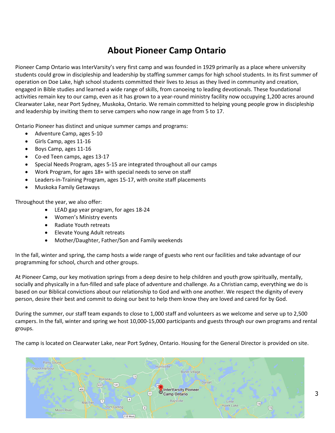# **About Pioneer Camp Ontario**

Pioneer Camp Ontario was InterVarsity's very first camp and was founded in 1929 primarily as a place where university students could grow in discipleship and leadership by staffing summer camps for high school students. In its first summer of operation on Doe Lake, high school students committed their lives to Jesus as they lived in community and creation, engaged in Bible studies and learned a wide range of skills, from canoeing to leading devotionals. These foundational activities remain key to our camp, even as it has grown to a year-round ministry facility now occupying 1,200 acres around Clearwater Lake, near Port Sydney, Muskoka, Ontario. We remain committed to helping young people grow in discipleship and leadership by inviting them to serve campers who now range in age from 5 to 17.

Ontario Pioneer has distinct and unique summer camps and programs:

- Adventure Camp, ages 5-10
- Girls Camp, ages 11-16
- Boys Camp, ages 11-16
- Co-ed Teen camps, ages 13-17
- Special Needs Program, ages 5-15 are integrated throughout all our camps
- Work Program, for ages 18+ with special needs to serve on staff
- Leaders-in-Training Program, ages 15-17, with onsite staff placements
- Muskoka Family Getaways

Throughout the year, we also offer:

- LEAD gap year program, for ages 18-24
- Women's Ministry events
- Radiate Youth retreats
- Elevate Young Adult retreats
- Mother/Daughter, Father/Son and Family weekends

In the fall, winter and spring, the camp hosts a wide range of guests who rent our facilities and take advantage of our programming for school, church and other groups.

At Pioneer Camp, our key motivation springs from a deep desire to help children and youth grow spiritually, mentally, socially and physically in a fun-filled and safe place of adventure and challenge. As a Christian camp, everything we do is based on our Biblical convictions about our relationship to God and with one another. We respect the dignity of every person, desire their best and commit to doing our best to help them know they are loved and cared for by God.

During the summer, our staff team expands to close to 1,000 staff and volunteers as we welcome and serve up to 2,500 campers. In the fall, winter and spring we host 10,000-15,000 participants and guests through our own programs and rental groups.

The camp is located on Clearwater Lake, near Port Sydney, Ontario. Housing for the General Director is provided on site.

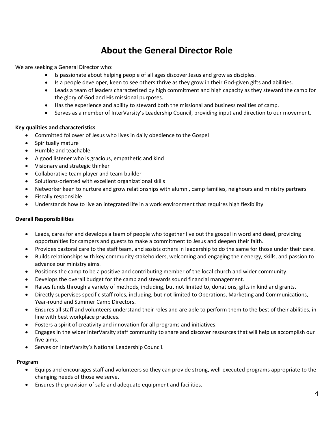# **About the General Director Role**

We are seeking a General Director who:

- Is passionate about helping people of all ages discover Jesus and grow as disciples.
- Is a people developer, keen to see others thrive as they grow in their God-given gifts and abilities.
- Leads a team of leaders characterized by high commitment and high capacity as they steward the camp for the glory of God and His missional purposes.
- Has the experience and ability to steward both the missional and business realities of camp.
- Serves as a member of InterVarsity's Leadership Council, providing input and direction to our movement.

## **Key qualities and characteristics**

- Committed follower of Jesus who lives in daily obedience to the Gospel
- Spiritually mature
- Humble and teachable
- A good listener who is gracious, empathetic and kind
- Visionary and strategic thinker
- Collaborative team player and team builder
- Solutions-oriented with excellent organizational skills
- Networker keen to nurture and grow relationships with alumni, camp families, neighours and ministry partners
- Fiscally responsible
- Understands how to live an integrated life in a work environment that requires high flexibility

## **Overall Responsibilities**

- Leads, cares for and develops a team of people who together live out the gospel in word and deed, providing opportunities for campers and guests to make a commitment to Jesus and deepen their faith.
- Provides pastoral care to the staff team, and assists others in leadership to do the same for those under their care.
- Builds relationships with key community stakeholders, welcoming and engaging their energy, skills, and passion to advance our ministry aims.
- Positions the camp to be a positive and contributing member of the local church and wider community.
- Develops the overall budget for the camp and stewards sound financial management.
- Raises funds through a variety of methods, including, but not limited to, donations, gifts in kind and grants.
- Directly supervises specific staff roles, including, but not limited to Operations, Marketing and Communications, Year-round and Summer Camp Directors.
- Ensures all staff and volunteers understand their roles and are able to perform them to the best of their abilities, in line with best workplace practices.
- Fosters a spirit of creativity and innovation for all programs and initiatives.
- Engages in the wider InterVarsity staff community to share and discover resources that will help us accomplish our five aims.
- Serves on InterVarsity's National Leadership Council.

## **Program**

- Equips and encourages staff and volunteers so they can provide strong, well-executed programs appropriate to the changing needs of those we serve.
- Ensures the provision of safe and adequate equipment and facilities.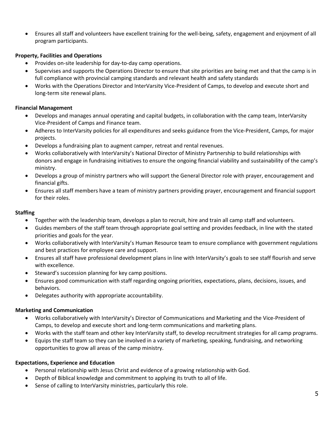• Ensures all staff and volunteers have excellent training for the well-being, safety, engagement and enjoyment of all program participants.

# **Property, Facilities and Operations**

- Provides on-site leadership for day-to-day camp operations.
- Supervises and supports the Operations Director to ensure that site priorities are being met and that the camp is in full compliance with provincial camping standards and relevant health and safety standards
- Works with the Operations Director and InterVarsity Vice-President of Camps, to develop and execute short and long-term site renewal plans.

## **Financial Management**

- Develops and manages annual operating and capital budgets, in collaboration with the camp team, InterVarsity Vice-President of Camps and Finance team.
- Adheres to InterVarsity policies for all expenditures and seeks guidance from the Vice-President, Camps, for major projects.
- Develops a fundraising plan to augment camper, retreat and rental revenues.
- Works collaboratively with InterVarsity's National Director of Ministry Partnership to build relationships with donors and engage in fundraising initiatives to ensure the ongoing financial viability and sustainability of the camp's ministry.
- Develops a group of ministry partners who will support the General Director role with prayer, encouragement and financial gifts.
- Ensures all staff members have a team of ministry partners providing prayer, encouragement and financial support for their roles.

# **Staffing**

- Together with the leadership team, develops a plan to recruit, hire and train all camp staff and volunteers.
- Guides members of the staff team through appropriate goal setting and provides feedback, in line with the stated priorities and goals for the year.
- Works collaboratively with InterVarsity's Human Resource team to ensure compliance with government regulations and best practices for employee care and support.
- Ensures all staff have professional development plans in line with InterVarsity's goals to see staff flourish and serve with excellence.
- Steward's succession planning for key camp positions.
- Ensures good communication with staff regarding ongoing priorities, expectations, plans, decisions, issues, and behaviors.
- Delegates authority with appropriate accountability.

# **Marketing and Communication**

- Works collaboratively with InterVarsity's Director of Communications and Marketing and the Vice-President of Camps, to develop and execute short and long-term communications and marketing plans.
- Works with the staff team and other key InterVarsity staff, to develop recruitment strategies for all camp programs.
- Equips the staff team so they can be involved in a variety of marketing, speaking, fundraising, and networking opportunities to grow all areas of the camp ministry.

## **Expectations, Experience and Education**

- Personal relationship with Jesus Christ and evidence of a growing relationship with God.
- Depth of Biblical knowledge and commitment to applying its truth to all of life.
- Sense of calling to InterVarsity ministries, particularly this role.